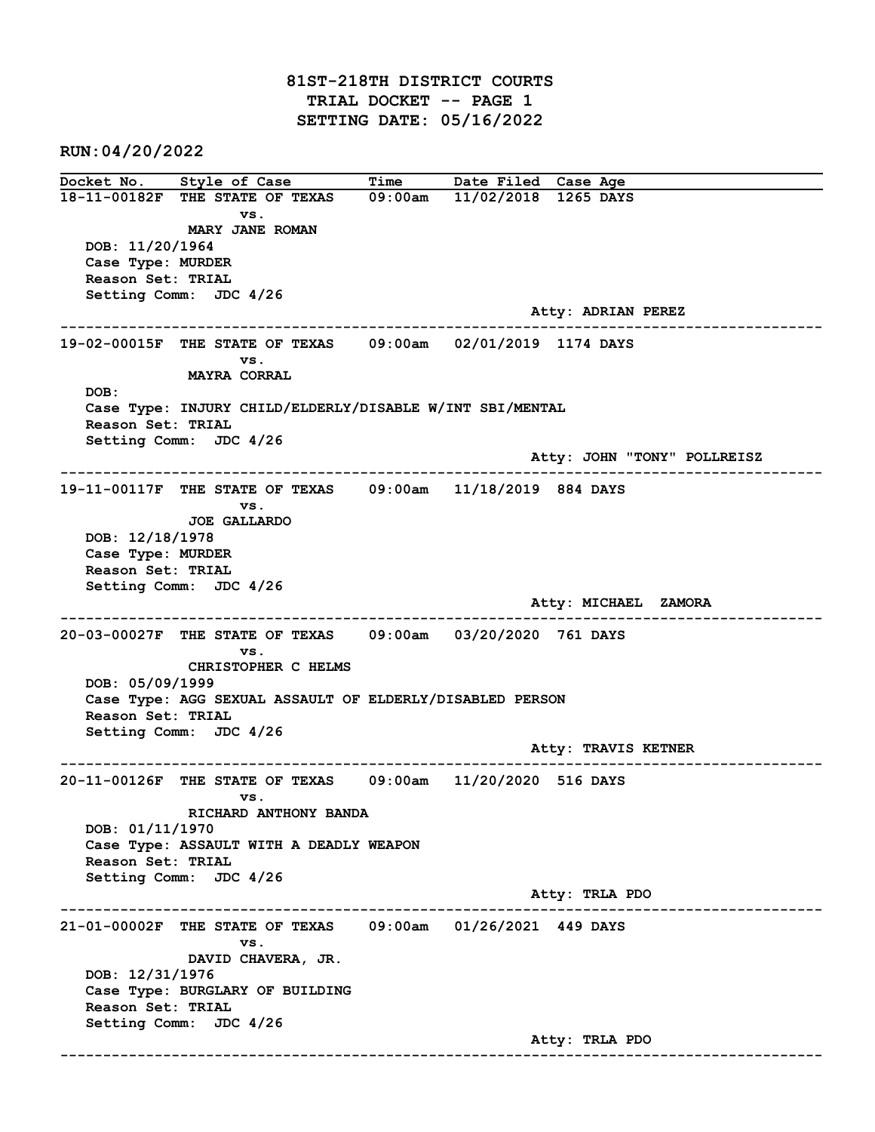81ST-218TH DISTRICT COURTS TRIAL DOCKET -- PAGE 1 SETTING DATE: 05/16/2022

RUN:04/20/2022

Docket No. Style of Case Time Date Filed Case Age 18-11-00182F THE STATE OF TEXAS 09:00am 11/02/2018 1265 DAYS vs. MARY JANE ROMAN DOB: 11/20/1964 Case Type: MURDER Reason Set: TRIAL Setting Comm: JDC 4/26 Atty: ADRIAN PEREZ ------------------------------------------------------------------------------------------------------------------------ 19-02-00015F THE STATE OF TEXAS 09:00am 02/01/2019 1174 DAYS vs. MAYRA CORRAL DOB: Case Type: INJURY CHILD/ELDERLY/DISABLE W/INT SBI/MENTAL Reason Set: TRIAL Setting Comm: JDC 4/26 Atty: JOHN "TONY" POLLREISZ ------------------------------------------------------------------------------------------------------------------------ 19-11-00117F THE STATE OF TEXAS 09:00am 11/18/2019 884 DAYS vs. JOE GALLARDO DOB: 12/18/1978 Case Type: MURDER Reason Set: TRIAL Setting Comm: JDC 4/26 Atty: MICHAEL ZAMORA ------------------------------------------------------------------------------------------------------------------------ 20-03-00027F THE STATE OF TEXAS 09:00am 03/20/2020 761 DAYS vs. CHRISTOPHER C HELMS DOB: 05/09/1999 Case Type: AGG SEXUAL ASSAULT OF ELDERLY/DISABLED PERSON Reason Set: TRIAL Setting Comm: JDC 4/26 Atty: TRAVIS KETNER ------------------------------------------------------------------------------------------------------------------------ 20-11-00126F THE STATE OF TEXAS 09:00am 11/20/2020 516 DAYS vs. RICHARD ANTHONY BANDA DOB: 01/11/1970 Case Type: ASSAULT WITH A DEADLY WEAPON Reason Set: TRIAL Setting Comm: JDC 4/26 Atty: TRLA PDO ------------------------------------------------------------------------------------------------------------------------ 21-01-00002F THE STATE OF TEXAS 09:00am 01/26/2021 449 DAYS vs. DAVID CHAVERA, JR. DOB: 12/31/1976 Case Type: BURGLARY OF BUILDING Reason Set: TRIAL Setting Comm: JDC 4/26 Atty: TRLA PDO ------------------------------------------------------------------------------------------------------------------------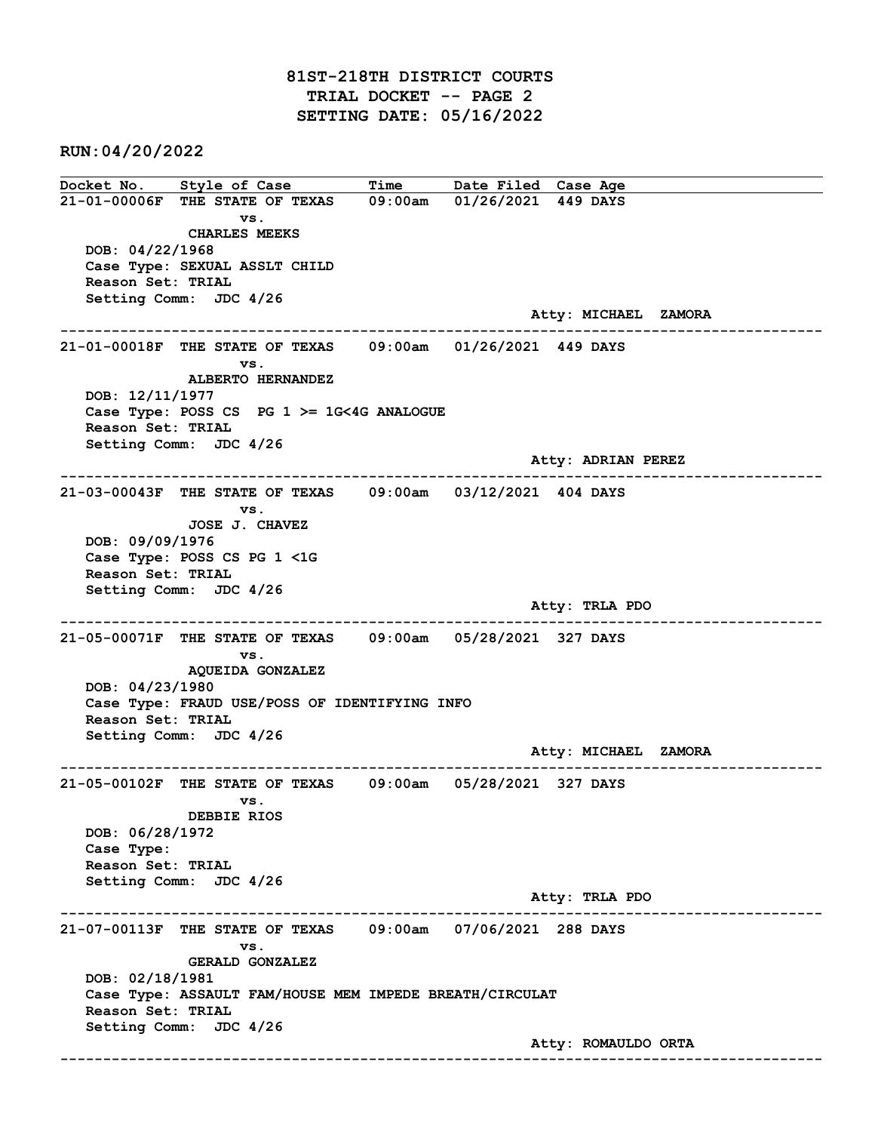## 81ST-218TH DISTRICT COURTS TRIAL DOCKET -- PAGE 2 SETTING DATE: 05/16/2022

RUN:04/20/2022

Docket No. Style of Case Time Date Filed Case Age 21-01-00006F THE STATE OF TEXAS 09:00am 01/26/2021 449 DAYS vs. CHARLES MEEKS DOB: 04/22/1968 Case Type: SEXUAL ASSLT CHILD Reason Set: TRIAL Setting Comm: JDC 4/26 Atty: MICHAEL ZAMORA ------------------------------------------------------------------------------------------------------------------------ 21-01-00018F THE STATE OF TEXAS 09:00am 01/26/2021 449 DAYS vs. ALBERTO HERNANDEZ DOB: 12/11/1977 Case Type: POSS CS PG 1 >= 1G<4G ANALOGUE Reason Set: TRIAL Setting Comm: JDC 4/26 Atty: ADRIAN PEREZ ------------------------------------------------------------------------------------------------------------------------ 21-03-00043F THE STATE OF TEXAS 09:00am 03/12/2021 404 DAYS vs. JOSE J. CHAVEZ DOB: 09/09/1976 Case Type: POSS CS PG 1 <1G Reason Set: TRIAL Setting Comm: JDC 4/26 Atty: TRLA PDO ------------------------------------------------------------------------------------------------------------------------ 21-05-00071F THE STATE OF TEXAS 09:00am 05/28/2021 327 DAYS vs. AQUEIDA GONZALEZ DOB: 04/23/1980 Case Type: FRAUD USE/POSS OF IDENTIFYING INFO Reason Set: TRIAL Setting Comm: JDC 4/26 Atty: MICHAEL ZAMORA ------------------------------------------------------------------------------------------------------------------------ 21-05-00102F THE STATE OF TEXAS 09:00am 05/28/2021 327 DAYS vs. DEBBIE RIOS DOB: 06/28/1972 Case Type: Reason Set: TRIAL Setting Comm: JDC 4/26 Atty: TRLA PDO ------------------------------------------------------------------------------------------------------------------------ 21-07-00113F THE STATE OF TEXAS 09:00am 07/06/2021 288 DAYS vs. GERALD GONZALEZ DOB: 02/18/1981 Case Type: ASSAULT FAM/HOUSE MEM IMPEDE BREATH/CIRCULAT Reason Set: TRIAL Setting Comm: JDC 4/26 Atty: ROMAULDO ORTA ------------------------------------------------------------------------------------------------------------------------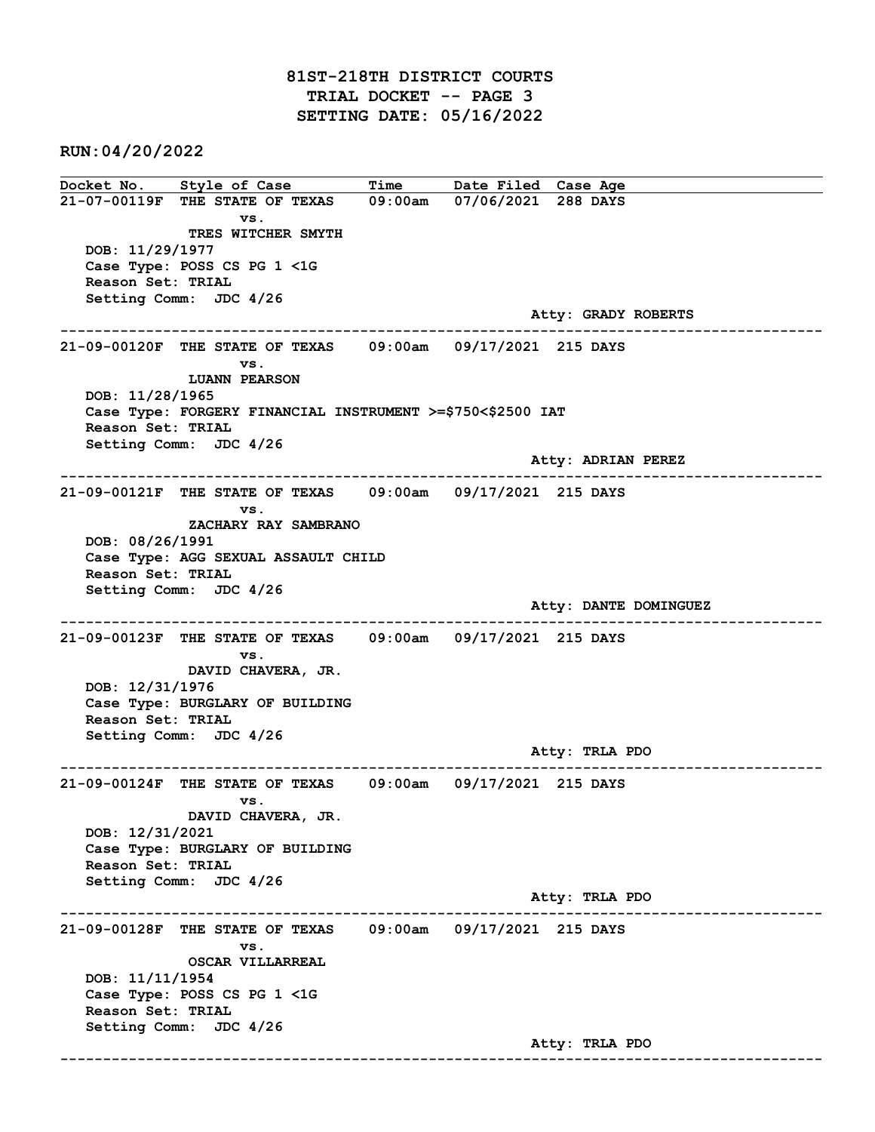## 81ST-218TH DISTRICT COURTS TRIAL DOCKET -- PAGE 3 SETTING DATE: 05/16/2022

RUN:04/20/2022

Docket No. Style of Case Time Date Filed Case Age 21-07-00119F THE STATE OF TEXAS 09:00am 07/06/2021 288 DAYS vs. TRES WITCHER SMYTH DOB: 11/29/1977 Case Type: POSS CS PG 1 <1G Reason Set: TRIAL Setting Comm: JDC 4/26 Atty: GRADY ROBERTS ------------------------------------------------------------------------------------------------------------------------ 21-09-00120F THE STATE OF TEXAS 09:00am 09/17/2021 215 DAYS vs. LUANN PEARSON DOB: 11/28/1965 Case Type: FORGERY FINANCIAL INSTRUMENT >=\$750<\$2500 IAT Reason Set: TRIAL Setting Comm: JDC 4/26 Atty: ADRIAN PEREZ ------------------------------------------------------------------------------------------------------------------------ 21-09-00121F THE STATE OF TEXAS 09:00am 09/17/2021 215 DAYS vs. ZACHARY RAY SAMBRANO DOB: 08/26/1991 Case Type: AGG SEXUAL ASSAULT CHILD Reason Set: TRIAL Setting Comm: JDC 4/26 Atty: DANTE DOMINGUEZ ------------------------------------------------------------------------------------------------------------------------ 21-09-00123F THE STATE OF TEXAS 09:00am 09/17/2021 215 DAYS vs. DAVID CHAVERA, JR. DOB: 12/31/1976 Case Type: BURGLARY OF BUILDING Reason Set: TRIAL Setting Comm: JDC 4/26 Atty: TRLA PDO ------------------------------------------------------------------------------------------------------------------------ 21-09-00124F THE STATE OF TEXAS 09:00am 09/17/2021 215 DAYS vs. DAVID CHAVERA, JR. DOB: 12/31/2021 Case Type: BURGLARY OF BUILDING Reason Set: TRIAL Setting Comm: JDC 4/26 Atty: TRLA PDO ------------------------------------------------------------------------------------------------------------------------ 21-09-00128F THE STATE OF TEXAS 09:00am 09/17/2021 215 DAYS vs. OSCAR VILLARREAL DOB: 11/11/1954 Case Type: POSS CS PG 1 <1G Reason Set: TRIAL Setting Comm: JDC 4/26 Atty: TRLA PDO ------------------------------------------------------------------------------------------------------------------------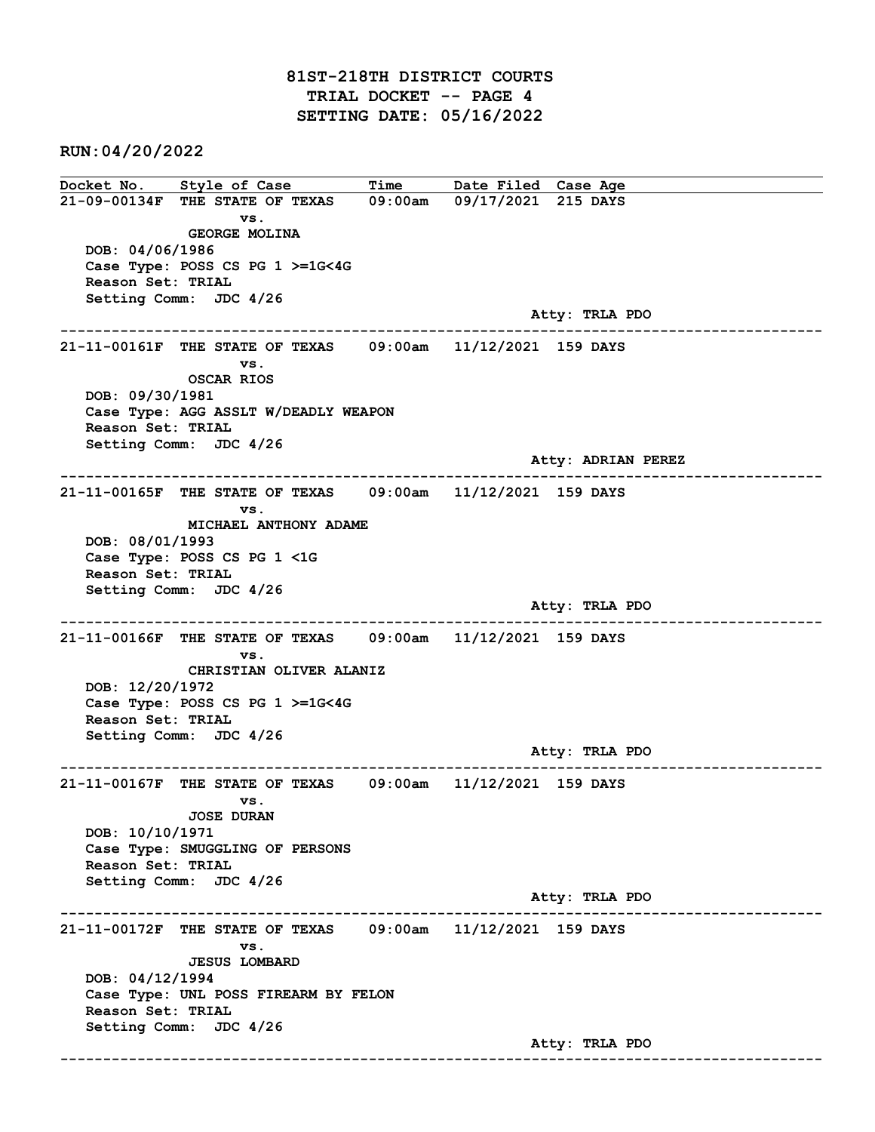RUN:04/20/2022

Docket No. Style of Case Time Date Filed Case Age 21-09-00134F THE STATE OF TEXAS 09:00am 09/17/2021 215 DAYS vs. GEORGE MOLINA DOB: 04/06/1986 Case Type: POSS CS PG 1 >=1G<4G Reason Set: TRIAL Setting Comm: JDC 4/26 Atty: TRLA PDO ------------------------------------------------------------------------------------------------------------------------ 21-11-00161F THE STATE OF TEXAS 09:00am 11/12/2021 159 DAYS vs. OSCAR RIOS DOB: 09/30/1981 Case Type: AGG ASSLT W/DEADLY WEAPON Reason Set: TRIAL Setting Comm: JDC 4/26 Atty: ADRIAN PEREZ ------------------------------------------------------------------------------------------------------------------------ 21-11-00165F THE STATE OF TEXAS 09:00am 11/12/2021 159 DAYS vs. MICHAEL ANTHONY ADAME DOB: 08/01/1993 Case Type: POSS CS PG 1 <1G Reason Set: TRIAL Setting Comm: JDC 4/26 Atty: TRLA PDO ------------------------------------------------------------------------------------------------------------------------ 21-11-00166F THE STATE OF TEXAS 09:00am 11/12/2021 159 DAYS vs. CHRISTIAN OLIVER ALANIZ DOB: 12/20/1972 Case Type: POSS CS PG 1 >=1G<4G Reason Set: TRIAL Setting Comm: JDC 4/26 Atty: TRLA PDO ------------------------------------------------------------------------------------------------------------------------ 21-11-00167F THE STATE OF TEXAS 09:00am 11/12/2021 159 DAYS vs. JOSE DURAN DOB: 10/10/1971 Case Type: SMUGGLING OF PERSONS Reason Set: TRIAL Setting Comm: JDC 4/26 Atty: TRLA PDO ------------------------------------------------------------------------------------------------------------------------ 21-11-00172F THE STATE OF TEXAS 09:00am 11/12/2021 159 DAYS vs. JESUS LOMBARD DOB: 04/12/1994 Case Type: UNL POSS FIREARM BY FELON Reason Set: TRIAL Setting Comm: JDC 4/26 Atty: TRLA PDO ------------------------------------------------------------------------------------------------------------------------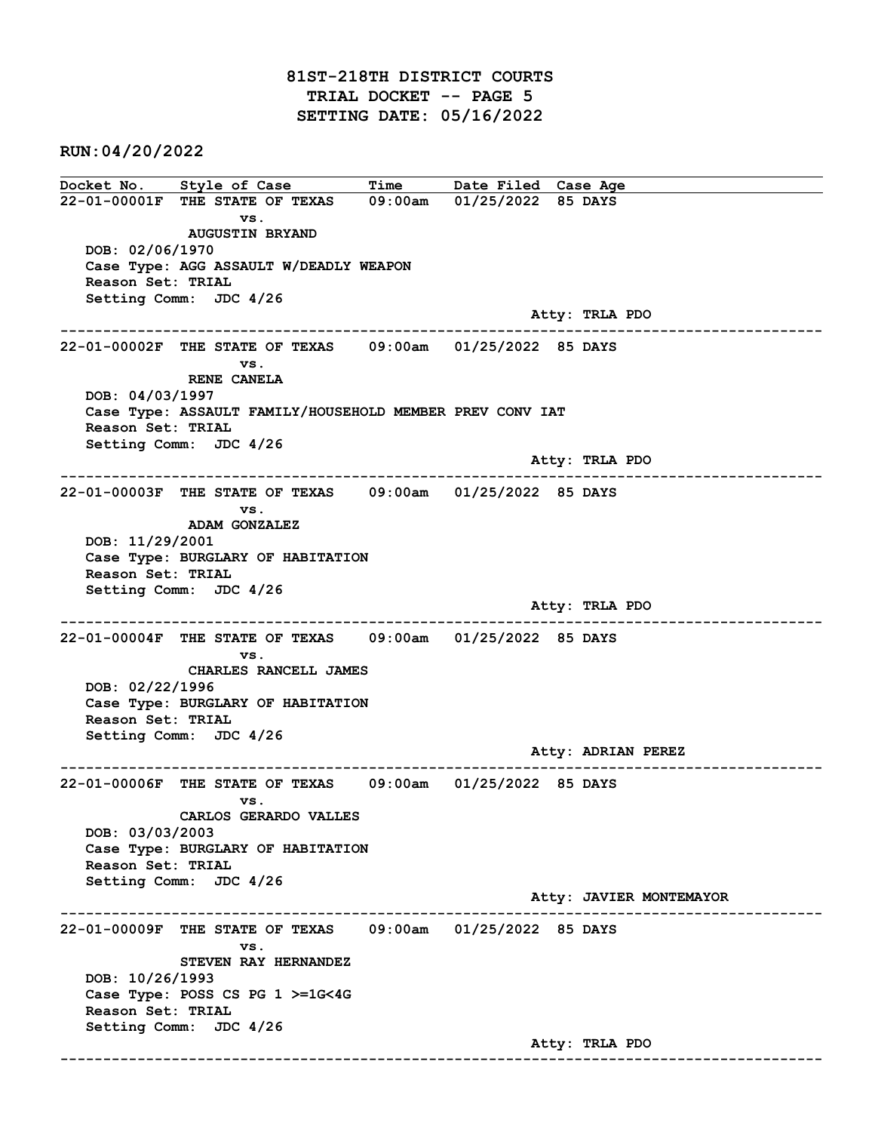RUN:04/20/2022

Docket No. Style of Case Time Date Filed Case Age 22-01-00001F THE STATE OF TEXAS 09:00am 01/25/2022 85 DAYS vs. AUGUSTIN BRYAND DOB: 02/06/1970 Case Type: AGG ASSAULT W/DEADLY WEAPON Reason Set: TRIAL Setting Comm: JDC 4/26 Atty: TRLA PDO ------------------------------------------------------------------------------------------------------------------------ 22-01-00002F THE STATE OF TEXAS 09:00am 01/25/2022 85 DAYS vs. RENE CANELA DOB: 04/03/1997 Case Type: ASSAULT FAMILY/HOUSEHOLD MEMBER PREV CONV IAT Reason Set: TRIAL Setting Comm: JDC 4/26 Atty: TRLA PDO ------------------------------------------------------------------------------------------------------------------------ 22-01-00003F THE STATE OF TEXAS 09:00am 01/25/2022 85 DAYS vs. ADAM GONZALEZ DOB: 11/29/2001 Case Type: BURGLARY OF HABITATION Reason Set: TRIAL Setting Comm: JDC 4/26 Atty: TRLA PDO ------------------------------------------------------------------------------------------------------------------------ 22-01-00004F THE STATE OF TEXAS 09:00am 01/25/2022 85 DAYS vs. CHARLES RANCELL JAMES DOB: 02/22/1996 Case Type: BURGLARY OF HABITATION Reason Set: TRIAL Setting Comm: JDC 4/26 Atty: ADRIAN PEREZ ------------------------------------------------------------------------------------------------------------------------ 22-01-00006F THE STATE OF TEXAS 09:00am 01/25/2022 85 DAYS vs. CARLOS GERARDO VALLES DOB: 03/03/2003 Case Type: BURGLARY OF HABITATION Reason Set: TRIAL Setting Comm: JDC 4/26 Atty: JAVIER MONTEMAYOR ------------------------------------------------------------------------------------------------------------------------ 22-01-00009F THE STATE OF TEXAS 09:00am 01/25/2022 85 DAYS vs. STEVEN RAY HERNANDEZ DOB: 10/26/1993 Case Type: POSS CS PG 1 >=1G<4G Reason Set: TRIAL Setting Comm: JDC 4/26 Atty: TRLA PDO ------------------------------------------------------------------------------------------------------------------------